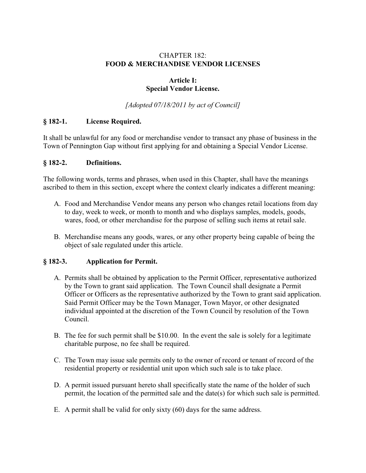## CHAPTER 182: **FOOD & MERCHANDISE VENDOR LICENSES**

### **Article I: Special Vendor License.**

*[Adopted 07/18/2011 by act of Council]* 

## **§ 182-1. License Required.**

It shall be unlawful for any food or merchandise vendor to transact any phase of business in the Town of Pennington Gap without first applying for and obtaining a Special Vendor License.

#### **§ 182-2. Definitions.**

The following words, terms and phrases, when used in this Chapter, shall have the meanings ascribed to them in this section, except where the context clearly indicates a different meaning:

- A. Food and Merchandise Vendor means any person who changes retail locations from day to day, week to week, or month to month and who displays samples, models, goods, wares, food, or other merchandise for the purpose of selling such items at retail sale.
- B. Merchandise means any goods, wares, or any other property being capable of being the object of sale regulated under this article.

### **§ 182-3. Application for Permit.**

- A. Permits shall be obtained by application to the Permit Officer, representative authorized by the Town to grant said application. The Town Council shall designate a Permit Officer or Officers as the representative authorized by the Town to grant said application. Said Permit Officer may be the Town Manager, Town Mayor, or other designated individual appointed at the discretion of the Town Council by resolution of the Town Council.
- B. The fee for such permit shall be \$10.00. In the event the sale is solely for a legitimate charitable purpose, no fee shall be required.
- C. The Town may issue sale permits only to the owner of record or tenant of record of the residential property or residential unit upon which such sale is to take place.
- D. A permit issued pursuant hereto shall specifically state the name of the holder of such permit, the location of the permitted sale and the date(s) for which such sale is permitted.
- E. A permit shall be valid for only sixty (60) days for the same address.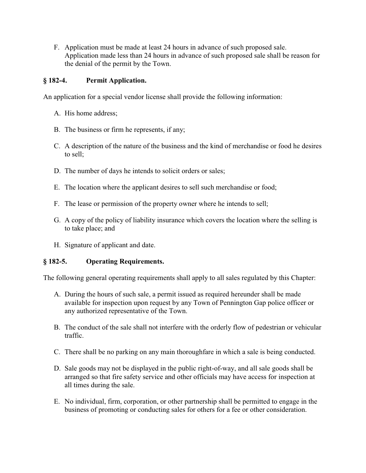F. Application must be made at least 24 hours in advance of such proposed sale. Application made less than 24 hours in advance of such proposed sale shall be reason for the denial of the permit by the Town.

## **§ 182-4. Permit Application.**

An application for a special vendor license shall provide the following information:

- A. His home address;
- B. The business or firm he represents, if any;
- C. A description of the nature of the business and the kind of merchandise or food he desires to sell;
- D. The number of days he intends to solicit orders or sales;
- E. The location where the applicant desires to sell such merchandise or food;
- F. The lease or permission of the property owner where he intends to sell;
- G. A copy of the policy of liability insurance which covers the location where the selling is to take place; and
- H. Signature of applicant and date.

### **§ 182-5. Operating Requirements.**

The following general operating requirements shall apply to all sales regulated by this Chapter:

- A. During the hours of such sale, a permit issued as required hereunder shall be made available for inspection upon request by any Town of Pennington Gap police officer or any authorized representative of the Town.
- B. The conduct of the sale shall not interfere with the orderly flow of pedestrian or vehicular traffic.
- C. There shall be no parking on any main thoroughfare in which a sale is being conducted.
- D. Sale goods may not be displayed in the public right-of-way, and all sale goods shall be arranged so that fire safety service and other officials may have access for inspection at all times during the sale.
- E. No individual, firm, corporation, or other partnership shall be permitted to engage in the business of promoting or conducting sales for others for a fee or other consideration.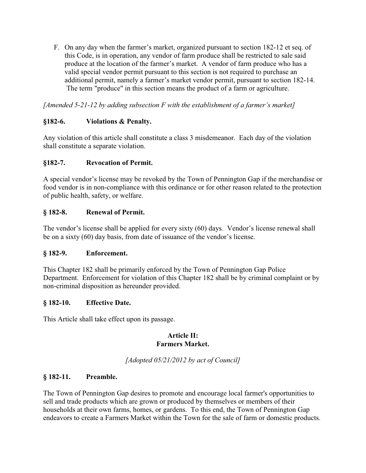F. On any day when the farmer's market, organized pursuant to section 182-12 et seq. of this Code, is in operation, any vendor of farm produce shall be restricted to sale said produce at the location of the farmer's market. A vendor of farm produce who has a valid special vendor permit pursuant to this section is not required to purchase an additional permit, namely a farmer's market vendor permit, pursuant to section 182-14. The term "produce" in this section means the product of a farm or agriculture.

*[Amended 5-21-12 by adding subsection F with the establishment of a farmer's market]* 

## **§182-6. Violations & Penalty.**

Any violation of this article shall constitute a class 3 misdemeanor. Each day of the violation shall constitute a separate violation.

## **§182-7. Revocation of Permit.**

A special vendor's license may be revoked by the Town of Pennington Gap if the merchandise or food vendor is in non-compliance with this ordinance or for other reason related to the protection of public health, safety, or welfare.

## **§ 182-8. Renewal of Permit.**

The vendor's license shall be applied for every sixty  $(60)$  days. Vendor's license renewal shall be on a sixty  $(60)$  day basis, from date of issuance of the vendor's license.

### **§ 182-9. Enforcement.**

This Chapter 182 shall be primarily enforced by the Town of Pennington Gap Police Department. Enforcement for violation of this Chapter 182 shall be by criminal complaint or by non-criminal disposition as hereunder provided.

### **§ 182-10. Effective Date.**

This Article shall take effect upon its passage.

#### **Article II: Farmers Market.**

*[Adopted 05/21/2012 by act of Council]* 

### **§ 182-11. Preamble.**

The Town of Pennington Gap desires to promote and encourage local farmer's opportunities to sell and trade products which are grown or produced by themselves or members of their households at their own farms, homes, or gardens. To this end, the Town of Pennington Gap endeavors to create a Farmers Market within the Town for the sale of farm or domestic products.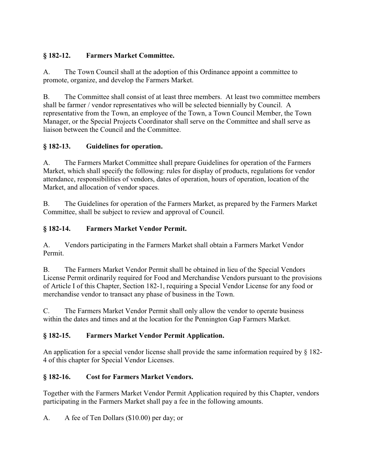# **§ 182-12. Farmers Market Committee.**

A. The Town Council shall at the adoption of this Ordinance appoint a committee to promote, organize, and develop the Farmers Market.

B. The Committee shall consist of at least three members. At least two committee members shall be farmer / vendor representatives who will be selected biennially by Council. A representative from the Town, an employee of the Town, a Town Council Member, the Town Manager, or the Special Projects Coordinator shall serve on the Committee and shall serve as liaison between the Council and the Committee.

## **§ 182-13. Guidelines for operation.**

A. The Farmers Market Committee shall prepare Guidelines for operation of the Farmers Market, which shall specify the following: rules for display of products, regulations for vendor attendance, responsibilities of vendors, dates of operation, hours of operation, location of the Market, and allocation of vendor spaces.

B. The Guidelines for operation of the Farmers Market, as prepared by the Farmers Market Committee, shall be subject to review and approval of Council.

## **§ 182-14. Farmers Market Vendor Permit.**

A. Vendors participating in the Farmers Market shall obtain a Farmers Market Vendor Permit.

B. The Farmers Market Vendor Permit shall be obtained in lieu of the Special Vendors License Permit ordinarily required for Food and Merchandise Vendors pursuant to the provisions of Article I of this Chapter, Section 182-1, requiring a Special Vendor License for any food or merchandise vendor to transact any phase of business in the Town.

C. The Farmers Market Vendor Permit shall only allow the vendor to operate business within the dates and times and at the location for the Pennington Gap Farmers Market.

## **§ 182-15. Farmers Market Vendor Permit Application.**

An application for a special vendor license shall provide the same information required by § 182- 4 of this chapter for Special Vendor Licenses.

## **§ 182-16. Cost for Farmers Market Vendors.**

Together with the Farmers Market Vendor Permit Application required by this Chapter, vendors participating in the Farmers Market shall pay a fee in the following amounts.

A. A fee of Ten Dollars (\$10.00) per day; or